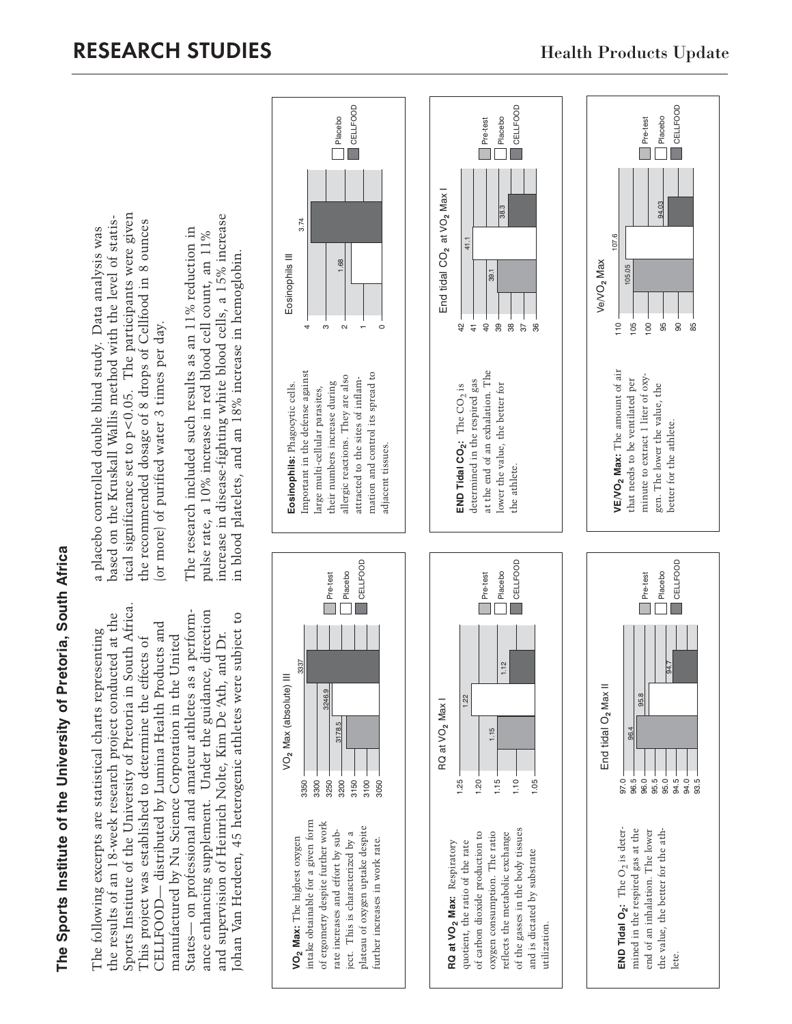The Sports Institute of the University of Pretoria, South Africa **The Sports Institute of the University of Pretoria, South Africa**

Sports Institute of the University of Pretoria in South Africa. Sports Institute of the University of Pretoria in South Africa. States— on professional and amateur athletes as a perform-States— on professional and amateur athletes as a performance enhancing supplement. Under the guidance, direction ance enhancing supplement. Under the guidance, direction Johan Van Herdeen, 45 heterogenic athletes were subject to the results of an 18-week research project conducted at the ohan Van Herdeen, 45 heterogenic athletes were subject to the results of an 18-week research project conducted at the CELLFOOD-distributed by Lumina Health Products and CELLFOOD— distributed by Lumina Health Products and The following excerpts are statistical charts representing The following excerpts are statistical charts representing and supervision of Heinrich Nolte, Kim De 'Ath, and Dr. This project was established to determine the effects of manufactured by Nu Science Corporation in the United and supervision of Heinrich Nolte, Kim De 'Ath, and Dr. manufactured by Nu Science Corporation in the United This project was established to determine the effects of

tical significance set to p<0.05. The participants were given tical significance set to p<0.05. The participants were given based on the Kruskall Wallis method with the level of statisbased on the Kruskall Wallis method with the level of statisthe recommended dosage of 8 drops of Cellfood in 8 ounces the recommended dosage of 8 drops of Cellfood in 8 ounces a placebo controlled double blind study. Data analysis was a placebo controlled double blind study. Data analysis was or more) of purified water 3 times per day. (or more) of purified water 3 times per day.

increase in disease-fighting white blood cells, a 15% increase increase in disease-fighting white blood cells, a 15% increase The research included such results as an 11% reduction in The research included such results as an 11% reduction in pulse rate, a 10% increase in red blood cell count, an 11% pulse rate, a 10% increase in red blood cell count, an 11% in blood platelets, and an 18% increase in hemoglobin. in blood platelets, and an 18% increase in hemoglobin.

Placebo CELLFOOD

68

 $\overline{\mathbf{I}}$  CELLFOOD

Eosinophils III

Eosinophils III

3.74

**Eosinophils:** Phagocytic cells. Important in the defense against large multi-cellular parasites, their numbers increase during allergic reactions. They are also attracted to the sites of inflammation and control its spread to

Eosinophils: Phagocytic cells.

Important in the defense against

4ო ณ  $\mathbf -$  Pre-test

39.1

End tidal CO**2** at VO**2** Max I

End tidal CO<sub>2</sub> at VO<sub>2</sub> Max I

42  $\overline{4}$  $\overline{a}$ 

41.1

**END Tidal CO** $_2$ **:** The  $\overline{\text{CO}}_2$  is determined in the respired gas at the end of an exhalation. The

**END Tidal CO<sub>2</sub>:** The  $CO_2$  is

determined in the respired gas

at the end of an exhalation. The



adjacent tissues.

adjacent tissues.

mation and control its spread to

allergic reactions. They are also attracted to the sites of inflam-

their numbers increase during

large multi-cellular parasites,